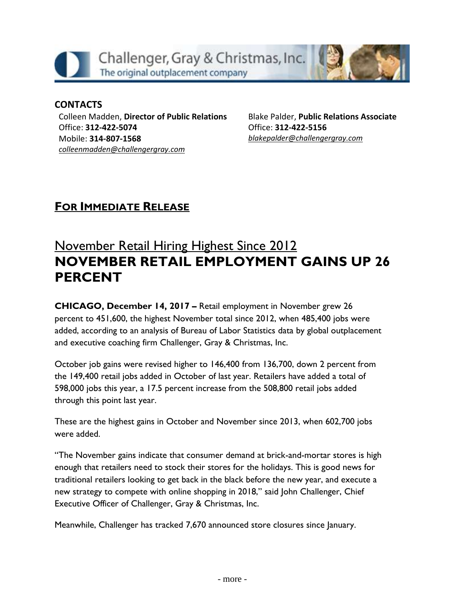

### **CONTACTS**

Colleen Madden, **Director of Public Relations** Office: **312-422-5074** Mobile: **314-807-1568** *[colleenmadden@challengergray.com](mailto:colleenmadden@challengergray.com)*

Blake Palder, **Public Relations Associate** Office: **312-422-5156** *[blakepalder@challengergray.com](mailto:blakepalder@challengergray.com)*

## **FOR IMMEDIATE RELEASE**

# **November Retail Hiring Highest Since 2012 NOVEMBER RETAIL EMPLOYMENT GAINS UP 26 PERCENT**

**CHICAGO, December 14, 2017 – Retail employment in November grew 26 percent to 451,600, the highest November total since 2012, when 485,400 jobs were added, according to an analysis of Bureau of Labor Statistics data by global outplacement and executive coaching firm Challenger, Gray & Christmas, Inc.**

**October job gains were revised higher to 146,400 from 136,700, down 2 percent from the 149,400 retail jobs added in October of last year. Retailers have added a total of 598,000 jobs this year, a 17.5 percent increase from the 508,800 retail jobs added through this point last year.**

**These are the highest gains in October and November since 2013, when 602,700 jobs were added.**

**"The November gains indicate that consumer demand at brick-and-mortar stores is high enough that retailers need to stock their stores for the holidays. This is good news for traditional retailers looking to get back in the black before the new year, and execute a new strategy to compete with online shopping in 2018," said John Challenger, Chief Executive Officer of Challenger, Gray & Christmas, Inc.**

**Meanwhile, Challenger has tracked 7,670 announced store closures since January.**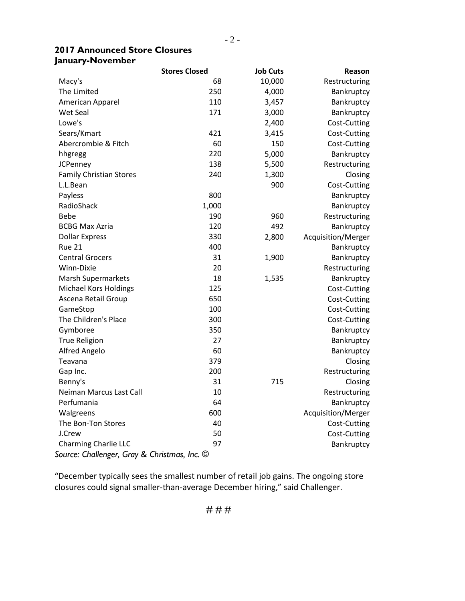#### **2017 Announced Store Closures January-November**

|                                              | <b>Stores Closed</b> | <b>Job Cuts</b> | Reason             |  |  |  |  |  |
|----------------------------------------------|----------------------|-----------------|--------------------|--|--|--|--|--|
| Macy's                                       | 68                   | 10,000          | Restructuring      |  |  |  |  |  |
| The Limited                                  | 250                  | 4,000           | Bankruptcy         |  |  |  |  |  |
| American Apparel                             | 110                  | 3,457           | Bankruptcy         |  |  |  |  |  |
| Wet Seal                                     | 171                  | 3,000           | Bankruptcy         |  |  |  |  |  |
| Lowe's                                       |                      | 2,400           | Cost-Cutting       |  |  |  |  |  |
| Sears/Kmart                                  | 421                  | 3,415           | Cost-Cutting       |  |  |  |  |  |
| Abercrombie & Fitch                          | 60                   | 150             | Cost-Cutting       |  |  |  |  |  |
| hhgregg                                      | 220                  | 5,000           | Bankruptcy         |  |  |  |  |  |
| <b>JCPenney</b>                              | 138                  | 5,500           | Restructuring      |  |  |  |  |  |
| <b>Family Christian Stores</b>               | 240                  | 1,300           | Closing            |  |  |  |  |  |
| L.L.Bean                                     |                      | 900             | Cost-Cutting       |  |  |  |  |  |
| Payless                                      | 800                  |                 | Bankruptcy         |  |  |  |  |  |
| RadioShack                                   | 1,000                |                 | Bankruptcy         |  |  |  |  |  |
| <b>Bebe</b>                                  | 190                  | 960             | Restructuring      |  |  |  |  |  |
| <b>BCBG Max Azria</b>                        | 120                  | 492             | Bankruptcy         |  |  |  |  |  |
| <b>Dollar Express</b>                        | 330                  | 2,800           | Acquisition/Merger |  |  |  |  |  |
| <b>Rue 21</b>                                | 400                  |                 | Bankruptcy         |  |  |  |  |  |
| <b>Central Grocers</b>                       | 31                   | 1,900           | Bankruptcy         |  |  |  |  |  |
| Winn-Dixie                                   | 20                   |                 | Restructuring      |  |  |  |  |  |
| <b>Marsh Supermarkets</b>                    | 18                   | 1,535           | Bankruptcy         |  |  |  |  |  |
| <b>Michael Kors Holdings</b>                 | 125                  |                 | Cost-Cutting       |  |  |  |  |  |
| Ascena Retail Group                          | 650                  |                 | Cost-Cutting       |  |  |  |  |  |
| GameStop                                     | 100                  |                 | Cost-Cutting       |  |  |  |  |  |
| The Children's Place                         | 300                  |                 | Cost-Cutting       |  |  |  |  |  |
| Gymboree                                     | 350                  |                 | Bankruptcy         |  |  |  |  |  |
| <b>True Religion</b>                         | 27                   |                 | Bankruptcy         |  |  |  |  |  |
| Alfred Angelo                                | 60                   |                 | Bankruptcy         |  |  |  |  |  |
| Teavana                                      | 379                  |                 | Closing            |  |  |  |  |  |
| Gap Inc.                                     | 200                  |                 | Restructuring      |  |  |  |  |  |
| Benny's                                      | 31                   | 715             | Closing            |  |  |  |  |  |
| Neiman Marcus Last Call                      | 10                   |                 | Restructuring      |  |  |  |  |  |
| Perfumania                                   | 64                   |                 | Bankruptcy         |  |  |  |  |  |
| Walgreens                                    | 600                  |                 | Acquisition/Merger |  |  |  |  |  |
| The Bon-Ton Stores                           | 40                   |                 | Cost-Cutting       |  |  |  |  |  |
| J.Crew                                       | 50                   |                 | Cost-Cutting       |  |  |  |  |  |
| <b>Charming Charlie LLC</b>                  | 97                   |                 | Bankruptcy         |  |  |  |  |  |
| Source: Challenger, Gray & Christmas, Inc. © |                      |                 |                    |  |  |  |  |  |

"December typically sees the smallest number of retail job gains. The ongoing store closures could signal smaller-than-average December hiring," said Challenger.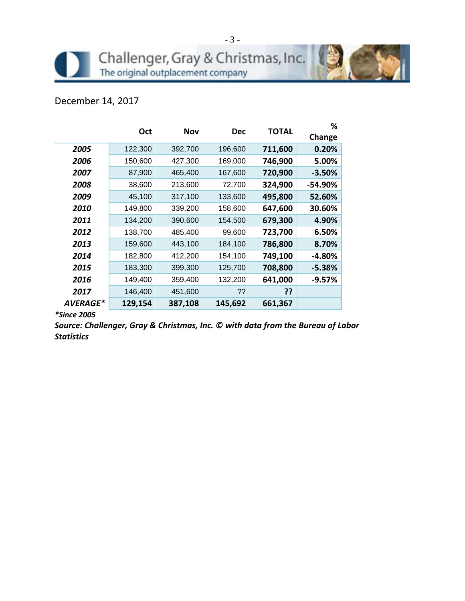### December 14, 2017

|                        | <b>Oct</b> | <b>Nov</b> | <b>Dec</b> |         | ℅        |
|------------------------|------------|------------|------------|---------|----------|
|                        |            |            |            | TOTAL   | Change   |
| 2005                   | 122,300    | 392,700    | 196,600    | 711,600 | 0.20%    |
| 2006                   | 150,600    | 427,300    | 169,000    | 746,900 | 5.00%    |
| 2007                   | 87,900     | 465,400    | 167,600    | 720,900 | $-3.50%$ |
| 2008                   | 38,600     | 213,600    | 72,700     | 324,900 | -54.90%  |
| 2009                   | 45,100     | 317,100    | 133,600    | 495,800 | 52.60%   |
| 2010                   | 149,800    | 339,200    | 158,600    | 647,600 | 30.60%   |
| 2011                   | 134,200    | 390,600    | 154,500    | 679,300 | 4.90%    |
| 2012                   | 138,700    | 485,400    | 99,600     | 723,700 | 6.50%    |
| 2013                   | 159,600    | 443,100    | 184,100    | 786,800 | 8.70%    |
| 2014                   | 182,800    | 412,200    | 154,100    | 749,100 | -4.80%   |
| 2015                   | 183,300    | 399,300    | 125,700    | 708,800 | $-5.38%$ |
| 2016                   | 149,400    | 359,400    | 132,200    | 641,000 | $-9.57%$ |
| 2017                   | 146,400    | 451,600    | ??         | ??      |          |
| <i><b>AVERAGE*</b></i> | 129,154    | 387,108    | 145,692    | 661,367 |          |

*\*Since 2005*

*Source: Challenger, Gray & Christmas, Inc. © with data from the Bureau of Labor Statistics*